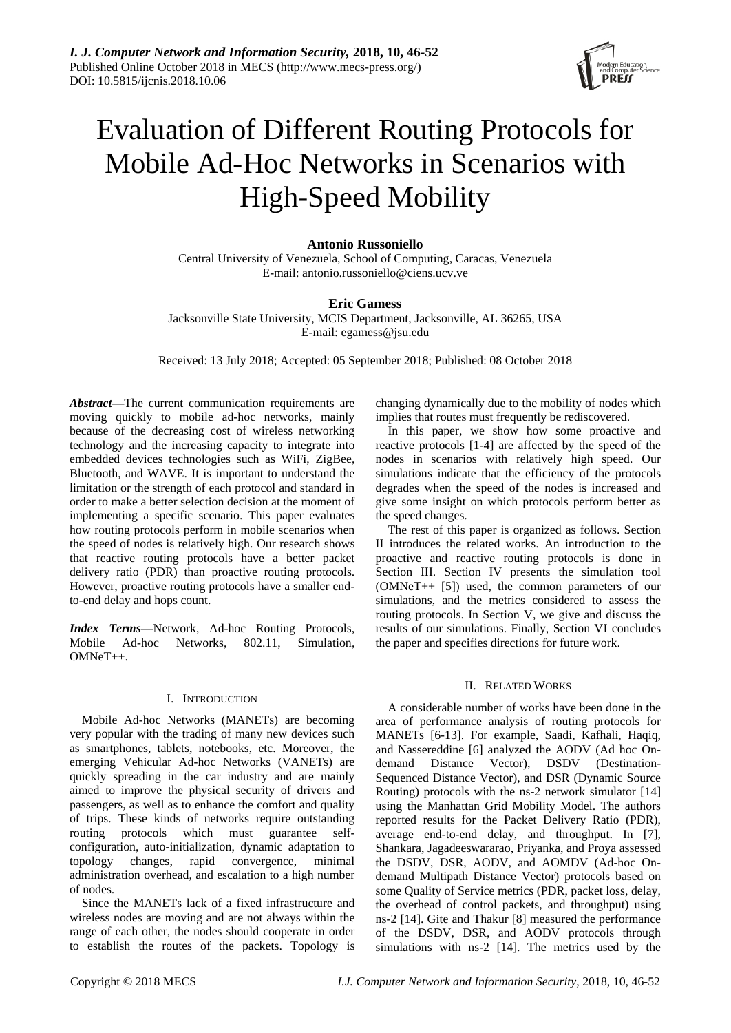

# Evaluation of Different Routing Protocols for Mobile Ad-Hoc Networks in Scenarios with High-Speed Mobility

## **Antonio Russoniello**

Central University of Venezuela, School of Computing, Caracas, Venezuela E-mail: antonio.russoniello@ciens.ucv.ve

# **Eric Gamess**

Jacksonville State University, MCIS Department, Jacksonville, AL 36265, USA E-mail: egamess@jsu.edu

Received: 13 July 2018; Accepted: 05 September 2018; Published: 08 October 2018

*Abstract***—**The current communication requirements are moving quickly to mobile ad-hoc networks, mainly because of the decreasing cost of wireless networking technology and the increasing capacity to integrate into embedded devices technologies such as WiFi, ZigBee, Bluetooth, and WAVE. It is important to understand the limitation or the strength of each protocol and standard in order to make a better selection decision at the moment of implementing a specific scenario. This paper evaluates how routing protocols perform in mobile scenarios when the speed of nodes is relatively high. Our research shows that reactive routing protocols have a better packet delivery ratio (PDR) than proactive routing protocols. However, proactive routing protocols have a smaller endto-end delay and hops count.

*Index Terms***—**Network, Ad-hoc Routing Protocols, Mobile Ad-hoc Networks, 802.11, Simulation, OMNeT++.

## I. INTRODUCTION

Mobile Ad-hoc Networks (MANETs) are becoming very popular with the trading of many new devices such as smartphones, tablets, notebooks, etc. Moreover, the emerging Vehicular Ad-hoc Networks (VANETs) are quickly spreading in the car industry and are mainly aimed to improve the physical security of drivers and passengers, as well as to enhance the comfort and quality of trips. These kinds of networks require outstanding routing protocols which must guarantee selfconfiguration, auto-initialization, dynamic adaptation to topology changes, rapid convergence, minimal administration overhead, and escalation to a high number of nodes.

Since the MANETs lack of a fixed infrastructure and wireless nodes are moving and are not always within the range of each other, the nodes should cooperate in order to establish the routes of the packets. Topology is changing dynamically due to the mobility of nodes which implies that routes must frequently be rediscovered.

In this paper, we show how some proactive and reactive protocols [1-4] are affected by the speed of the nodes in scenarios with relatively high speed. Our simulations indicate that the efficiency of the protocols degrades when the speed of the nodes is increased and give some insight on which protocols perform better as the speed changes.

The rest of this paper is organized as follows. Section II introduces the related works. An introduction to the proactive and reactive routing protocols is done in Section III. Section IV presents the simulation tool (OMNeT++ [5]) used, the common parameters of our simulations, and the metrics considered to assess the routing protocols. In Section V, we give and discuss the results of our simulations. Finally, Section VI concludes the paper and specifies directions for future work.

## II. RELATED WORKS

A considerable number of works have been done in the area of performance analysis of routing protocols for MANETs [6-13]. For example, Saadi, Kafhali, Haqiq, and Nassereddine [6] analyzed the AODV (Ad hoc Ondemand Distance Vector), DSDV (Destination-Sequenced Distance Vector), and DSR (Dynamic Source Routing) protocols with the ns-2 network simulator [14] using the Manhattan Grid Mobility Model. The authors reported results for the Packet Delivery Ratio (PDR), average end-to-end delay, and throughput. In [7], Shankara, Jagadeeswararao, Priyanka, and Proya assessed the DSDV, DSR, AODV, and AOMDV (Ad-hoc Ondemand Multipath Distance Vector) protocols based on some Quality of Service metrics (PDR, packet loss, delay, the overhead of control packets, and throughput) using ns-2 [14]. Gite and Thakur [8] measured the performance of the DSDV, DSR, and AODV protocols through simulations with ns-2 [14]. The metrics used by the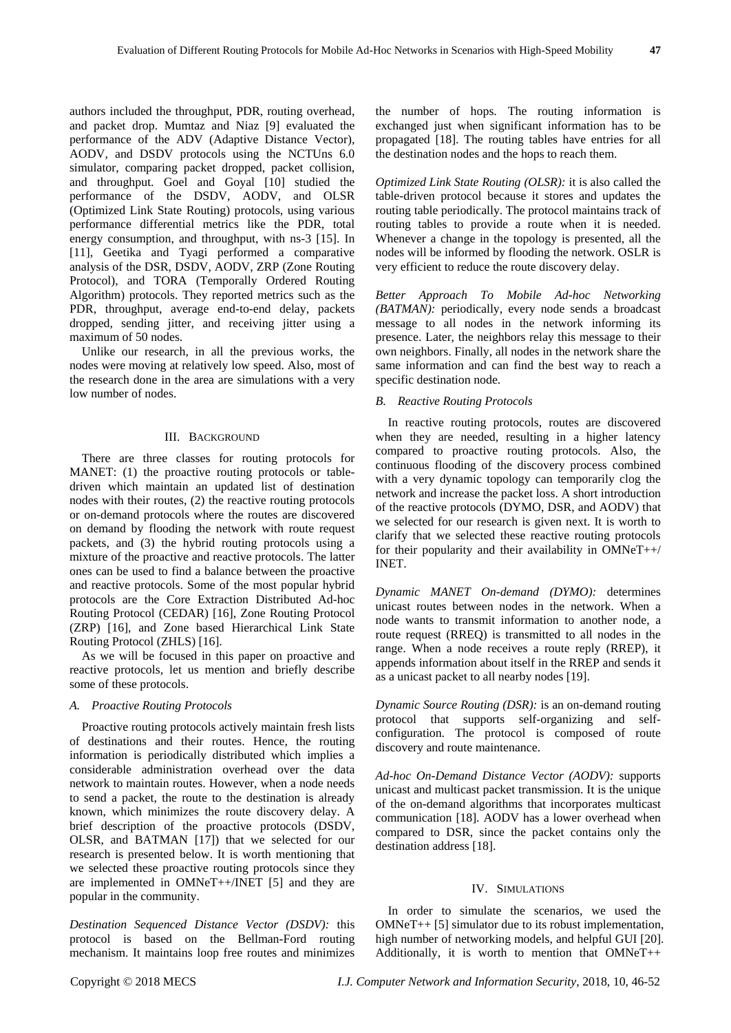authors included the throughput, PDR, routing overhead, and packet drop. Mumtaz and Niaz [9] evaluated the performance of the ADV (Adaptive Distance Vector), AODV, and DSDV protocols using the NCTUns 6.0 simulator, comparing packet dropped, packet collision, and throughput. Goel and Goyal [10] studied the performance of the DSDV, AODV, and OLSR (Optimized Link State Routing) protocols, using various performance differential metrics like the PDR, total energy consumption, and throughput, with ns-3 [15]. In [11], Geetika and Tyagi performed a comparative analysis of the DSR, DSDV, AODV, ZRP (Zone Routing Protocol), and TORA (Temporally Ordered Routing Algorithm) protocols. They reported metrics such as the PDR, throughput, average end-to-end delay, packets dropped, sending jitter, and receiving jitter using a maximum of 50 nodes.

Unlike our research, in all the previous works, the nodes were moving at relatively low speed. Also, most of the research done in the area are simulations with a very low number of nodes.

## III. BACKGROUND

There are three classes for routing protocols for MANET: (1) the proactive routing protocols or tabledriven which maintain an updated list of destination nodes with their routes, (2) the reactive routing protocols or on-demand protocols where the routes are discovered on demand by flooding the network with route request packets, and (3) the hybrid routing protocols using a mixture of the proactive and reactive protocols. The latter ones can be used to find a balance between the proactive and reactive protocols. Some of the most popular hybrid protocols are the Core Extraction Distributed Ad-hoc Routing Protocol (CEDAR) [16], Zone Routing Protocol (ZRP) [16], and Zone based Hierarchical Link State Routing Protocol (ZHLS) [16].

As we will be focused in this paper on proactive and reactive protocols, let us mention and briefly describe some of these protocols.

## *A. Proactive Routing Protocols*

Proactive routing protocols actively maintain fresh lists of destinations and their routes. Hence, the routing information is periodically distributed which implies a considerable administration overhead over the data network to maintain routes. However, when a node needs to send a packet, the route to the destination is already known, which minimizes the route discovery delay. A brief description of the proactive protocols (DSDV, OLSR, and BATMAN [17]) that we selected for our research is presented below. It is worth mentioning that we selected these proactive routing protocols since they are implemented in OMNeT++/INET [5] and they are popular in the community.

*Destination Sequenced Distance Vector (DSDV):* this protocol is based on the Bellman-Ford routing mechanism. It maintains loop free routes and minimizes

the number of hops. The routing information is exchanged just when significant information has to be propagated [18]. The routing tables have entries for all the destination nodes and the hops to reach them.

*Optimized Link State Routing (OLSR):* it is also called the table-driven protocol because it stores and updates the routing table periodically. The protocol maintains track of routing tables to provide a route when it is needed. Whenever a change in the topology is presented, all the nodes will be informed by flooding the network. OSLR is very efficient to reduce the route discovery delay.

*Better Approach To Mobile Ad-hoc Networking (BATMAN):* periodically, every node sends a broadcast message to all nodes in the network informing its presence. Later, the neighbors relay this message to their own neighbors. Finally, all nodes in the network share the same information and can find the best way to reach a specific destination node.

## *B. Reactive Routing Protocols*

In reactive routing protocols, routes are discovered when they are needed, resulting in a higher latency compared to proactive routing protocols. Also, the continuous flooding of the discovery process combined with a very dynamic topology can temporarily clog the network and increase the packet loss. A short introduction of the reactive protocols (DYMO, DSR, and AODV) that we selected for our research is given next. It is worth to clarify that we selected these reactive routing protocols for their popularity and their availability in  $OMNeT++/$ INET.

*Dynamic MANET On-demand (DYMO):* determines unicast routes between nodes in the network. When a node wants to transmit information to another node, a route request (RREQ) is transmitted to all nodes in the range. When a node receives a route reply (RREP), it appends information about itself in the RREP and sends it as a unicast packet to all nearby nodes [19].

*Dynamic Source Routing (DSR):* is an on-demand routing protocol that supports self-organizing and selfconfiguration. The protocol is composed of route discovery and route maintenance.

*Ad-hoc On-Demand Distance Vector (AODV):* supports unicast and multicast packet transmission. It is the unique of the on-demand algorithms that incorporates multicast communication [18]. AODV has a lower overhead when compared to DSR, since the packet contains only the destination address [18].

#### IV. SIMULATIONS

In order to simulate the scenarios, we used the OMNeT++ [5] simulator due to its robust implementation, high number of networking models, and helpful GUI [20]. Additionally, it is worth to mention that OMNeT++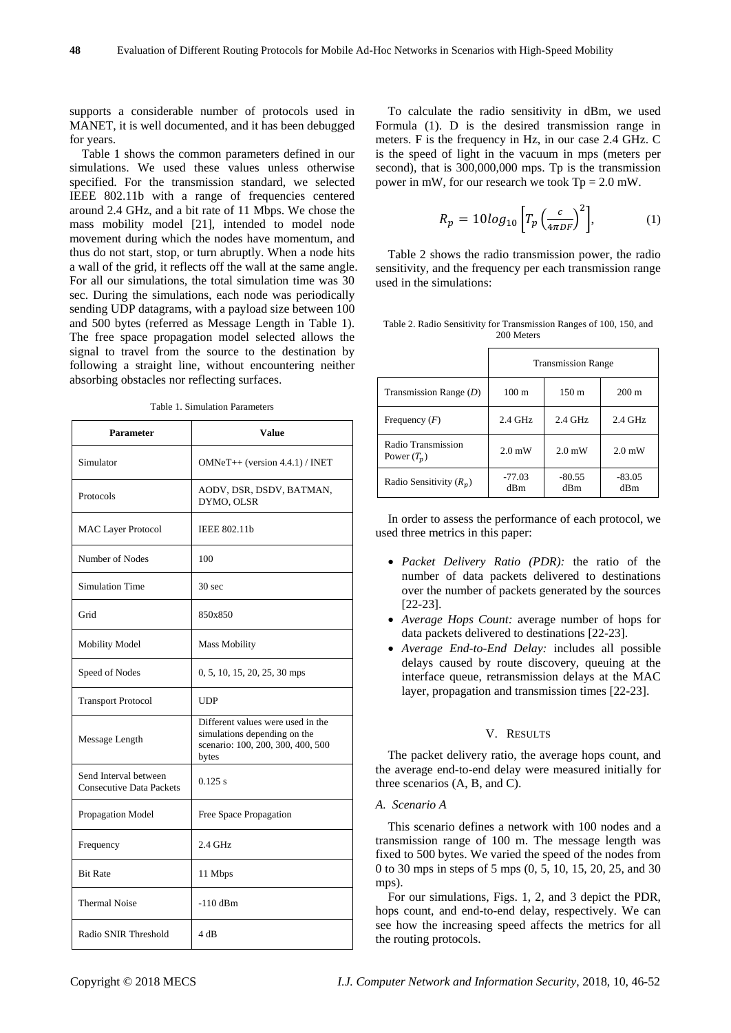supports a considerable number of protocols used in MANET, it is well documented, and it has been debugged for years.

Table 1 shows the common parameters defined in our simulations. We used these values unless otherwise specified. For the transmission standard, we selected IEEE 802.11b with a range of frequencies centered around 2.4 GHz, and a bit rate of 11 Mbps. We chose the mass mobility model [21], intended to model node movement during which the nodes have momentum, and thus do not start, stop, or turn abruptly. When a node hits a wall of the grid, it reflects off the wall at the same angle. For all our simulations, the total simulation time was 30 sec. During the simulations, each node was periodically sending UDP datagrams, with a payload size between 100 and 500 bytes (referred as Message Length in Table 1). The free space propagation model selected allows the signal to travel from the source to the destination by following a straight line, without encountering neither absorbing obstacles nor reflecting surfaces.

| <b>Parameter</b>                                  | <b>Value</b>                                                                                                    |  |  |
|---------------------------------------------------|-----------------------------------------------------------------------------------------------------------------|--|--|
| Simulator                                         | $OMNeT++$ (version 4.4.1) / INET                                                                                |  |  |
| Protocols                                         | AODV, DSR, DSDV, BATMAN,<br>DYMO, OLSR                                                                          |  |  |
| <b>MAC Layer Protocol</b>                         | <b>IEEE 802.11b</b>                                                                                             |  |  |
| Number of Nodes                                   | 100                                                                                                             |  |  |
| Simulation Time                                   | 30 <sub>sec</sub>                                                                                               |  |  |
| Grid                                              | 850x850                                                                                                         |  |  |
| <b>Mobility Model</b>                             | <b>Mass Mobility</b>                                                                                            |  |  |
| Speed of Nodes                                    | 0, 5, 10, 15, 20, 25, 30 mps                                                                                    |  |  |
| <b>Transport Protocol</b>                         | <b>UDP</b>                                                                                                      |  |  |
| Message Length                                    | Different values were used in the<br>simulations depending on the<br>scenario: 100, 200, 300, 400, 500<br>bytes |  |  |
| Send Interval between<br>Consecutive Data Packets | $0.125$ s                                                                                                       |  |  |
| Propagation Model                                 | Free Space Propagation                                                                                          |  |  |
| Frequency                                         | 2.4 GHz                                                                                                         |  |  |
| <b>Bit Rate</b>                                   | 11 Mbps                                                                                                         |  |  |
| <b>Thermal Noise</b>                              | $-110$ dBm                                                                                                      |  |  |
| Radio SNIR Threshold                              | 4 dB                                                                                                            |  |  |

To calculate the radio sensitivity in dBm, we used Formula (1). D is the desired transmission range in meters. F is the frequency in Hz, in our case 2.4 GHz. C is the speed of light in the vacuum in mps (meters per second), that is 300,000,000 mps. Tp is the transmission power in mW, for our research we took  $Tp = 2.0$  mW.

$$
R_p = 10\log_{10}\left[T_p \left(\frac{c}{4\pi DF}\right)^2\right],\tag{1}
$$

Table 2 shows the radio transmission power, the radio sensitivity, and the frequency per each transmission range used in the simulations:

|  |  | Table 2. Radio Sensitivity for Transmission Ranges of 100, 150, and |  |  |  |
|--|--|---------------------------------------------------------------------|--|--|--|
|  |  | 200 Meters                                                          |  |  |  |

|                                     | <b>Transmission Range</b> |                  |                  |  |  |
|-------------------------------------|---------------------------|------------------|------------------|--|--|
| Transmission Range $(D)$            | $100 \text{ m}$           | $150 \text{ m}$  | $200 \text{ m}$  |  |  |
| Frequency $(F)$                     | $2.4$ GHz                 | $2.4$ GHz        | $2.4$ GHz        |  |  |
| Radio Transmission<br>Power $(T_p)$ | $2.0 \text{ mW}$          | $2.0 \text{ mW}$ | $2.0 \text{ mW}$ |  |  |
| Radio Sensitivity $(R_n)$           | $-77.03$<br>dBm           | $-80.55$<br>dBm  | $-83.05$<br>dBm  |  |  |

In order to assess the performance of each protocol, we used three metrics in this paper:

- *Packet Delivery Ratio (PDR):* the ratio of the number of data packets delivered to destinations over the number of packets generated by the sources [22-23].
- *Average Hops Count:* average number of hops for data packets delivered to destinations [22-23].
- *Average End-to-End Delay:* includes all possible delays caused by route discovery, queuing at the interface queue, retransmission delays at the MAC layer, propagation and transmission times [22-23].

## V. RESULTS

The packet delivery ratio, the average hops count, and the average end-to-end delay were measured initially for three scenarios (A, B, and C).

## *A. Scenario A*

This scenario defines a network with 100 nodes and a transmission range of 100 m. The message length was fixed to 500 bytes. We varied the speed of the nodes from 0 to 30 mps in steps of 5 mps (0, 5, 10, 15, 20, 25, and 30 mps).

For our simulations, Figs. 1, 2, and 3 depict the PDR, hops count, and end-to-end delay, respectively. We can see how the increasing speed affects the metrics for all the routing protocols.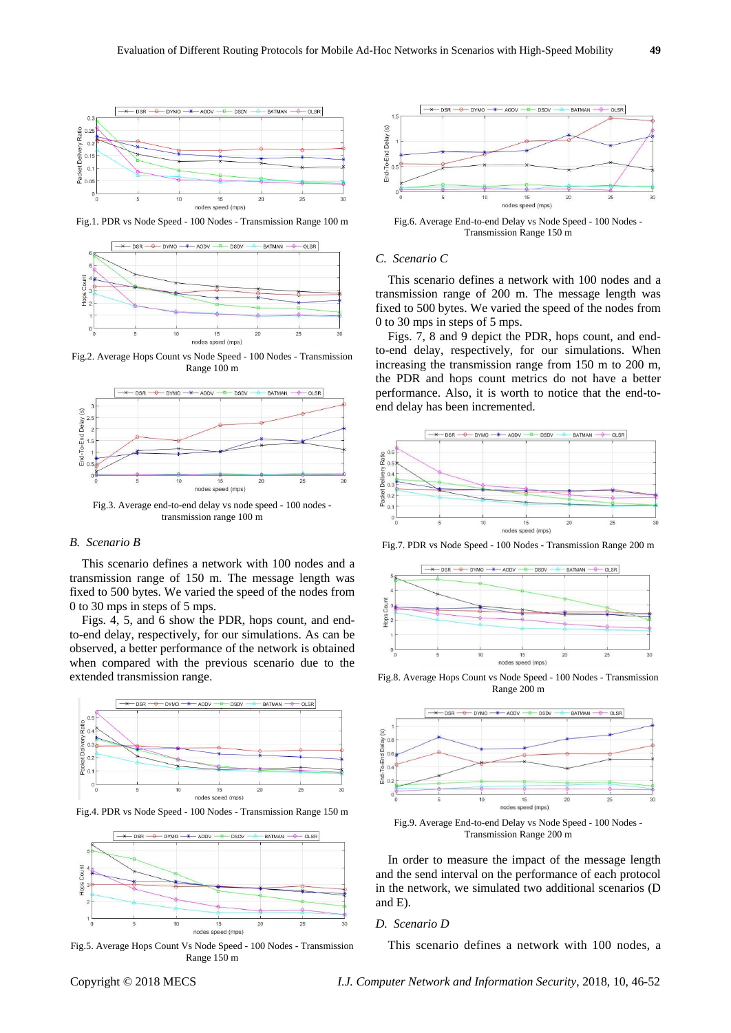

Fig.1. PDR vs Node Speed - 100 Nodes - Transmission Range 100 m



Fig.2. Average Hops Count vs Node Speed - 100 Nodes - Transmission Range 100 m



Fig.3. Average end-to-end delay vs node speed - 100 nodes transmission range 100 m

## *B. Scenario B*

This scenario defines a network with 100 nodes and a transmission range of 150 m. The message length was fixed to 500 bytes. We varied the speed of the nodes from 0 to 30 mps in steps of 5 mps.

Figs. 4, 5, and 6 show the PDR, hops count, and endto-end delay, respectively, for our simulations. As can be observed, a better performance of the network is obtained when compared with the previous scenario due to the extended transmission range.



Fig.4. PDR vs Node Speed - 100 Nodes - Transmission Range 150 m



Fig.5. Average Hops Count Vs Node Speed - 100 Nodes - Transmission Range 150 m



Fig.6. Average End-to-end Delay vs Node Speed - 100 Nodes - Transmission Range 150 m

## *C. Scenario C*

This scenario defines a network with 100 nodes and a transmission range of 200 m. The message length was fixed to 500 bytes. We varied the speed of the nodes from 0 to 30 mps in steps of 5 mps.

Figs. 7, 8 and 9 depict the PDR, hops count, and endto-end delay, respectively, for our simulations. When increasing the transmission range from 150 m to 200 m, the PDR and hops count metrics do not have a better performance. Also, it is worth to notice that the end-toend delay has been incremented.



Fig.7. PDR vs Node Speed - 100 Nodes - Transmission Range 200 m



Fig.8. Average Hops Count vs Node Speed - 100 Nodes - Transmission Range 200 m



Fig.9. Average End-to-end Delay vs Node Speed - 100 Nodes - Transmission Range 200 m

In order to measure the impact of the message length and the send interval on the performance of each protocol in the network, we simulated two additional scenarios (D and E).

## *D. Scenario D*

This scenario defines a network with 100 nodes, a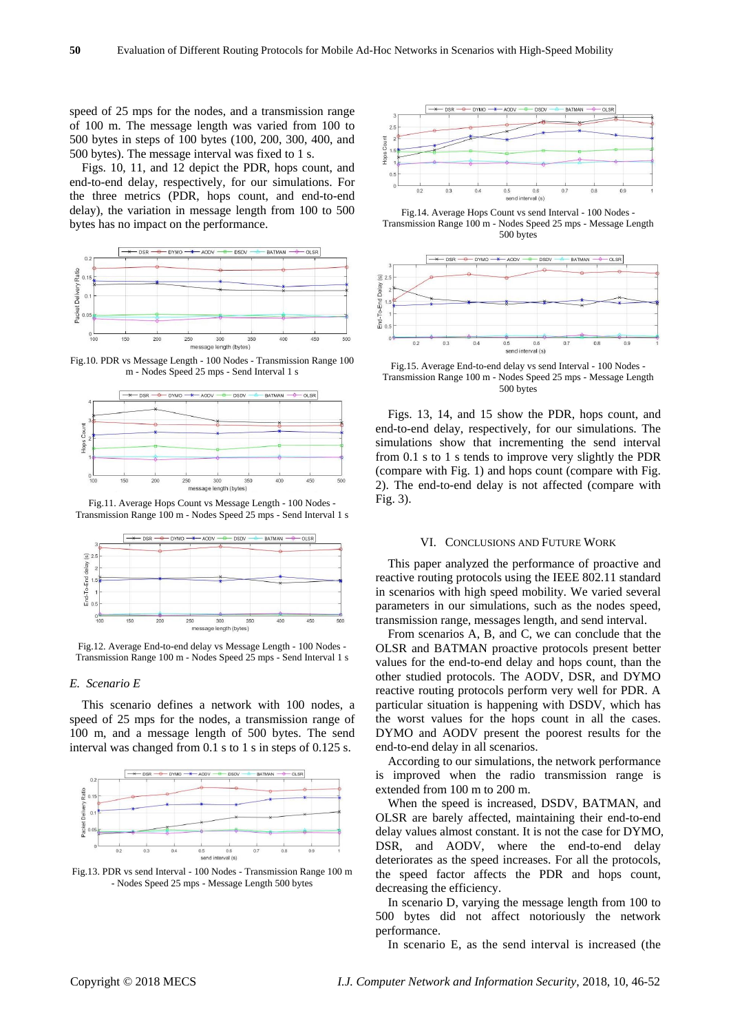speed of 25 mps for the nodes, and a transmission range of 100 m. The message length was varied from 100 to 500 bytes in steps of 100 bytes (100, 200, 300, 400, and 500 bytes). The message interval was fixed to 1 s.

Figs. 10, 11, and 12 depict the PDR, hops count, and end-to-end delay, respectively, for our simulations. For the three metrics (PDR, hops count, and end-to-end delay), the variation in message length from 100 to 500 bytes has no impact on the performance.



Fig.10. PDR vs Message Length - 100 Nodes - Transmission Range 100 m - Nodes Speed 25 mps - Send Interval 1 s



Fig.11. Average Hops Count vs Message Length - 100 Nodes - Transmission Range 100 m - Nodes Speed 25 mps - Send Interval 1 s



Fig.12. Average End-to-end delay vs Message Length - 100 Nodes - Transmission Range 100 m - Nodes Speed 25 mps - Send Interval 1 s

## *E. Scenario E*

This scenario defines a network with 100 nodes, a speed of 25 mps for the nodes, a transmission range of 100 m, and a message length of 500 bytes. The send interval was changed from 0.1 s to 1 s in steps of 0.125 s.



Fig.13. PDR vs send Interval - 100 Nodes - Transmission Range 100 m - Nodes Speed 25 mps - Message Length 500 bytes



Fig.14. Average Hops Count vs send Interval - 100 Nodes - Transmission Range 100 m - Nodes Speed 25 mps - Message Length 500 bytes



Fig.15. Average End-to-end delay vs send Interval - 100 Nodes - Transmission Range 100 m - Nodes Speed 25 mps - Message Length 500 bytes

Figs. 13, 14, and 15 show the PDR, hops count, and end-to-end delay, respectively, for our simulations. The simulations show that incrementing the send interval from 0.1 s to 1 s tends to improve very slightly the PDR (compare with Fig. 1) and hops count (compare with Fig. 2). The end-to-end delay is not affected (compare with Fig. 3).

### VI. CONCLUSIONS AND FUTURE WORK

This paper analyzed the performance of proactive and reactive routing protocols using the IEEE 802.11 standard in scenarios with high speed mobility. We varied several parameters in our simulations, such as the nodes speed, transmission range, messages length, and send interval.

From scenarios A, B, and C, we can conclude that the OLSR and BATMAN proactive protocols present better values for the end-to-end delay and hops count, than the other studied protocols. The AODV, DSR, and DYMO reactive routing protocols perform very well for PDR. A particular situation is happening with DSDV, which has the worst values for the hops count in all the cases. DYMO and AODV present the poorest results for the end-to-end delay in all scenarios.

According to our simulations, the network performance is improved when the radio transmission range is extended from 100 m to 200 m.

When the speed is increased, DSDV, BATMAN, and OLSR are barely affected, maintaining their end-to-end delay values almost constant. It is not the case for DYMO, DSR, and AODV, where the end-to-end delay deteriorates as the speed increases. For all the protocols, the speed factor affects the PDR and hops count, decreasing the efficiency.

In scenario D, varying the message length from 100 to 500 bytes did not affect notoriously the network performance.

In scenario E, as the send interval is increased (the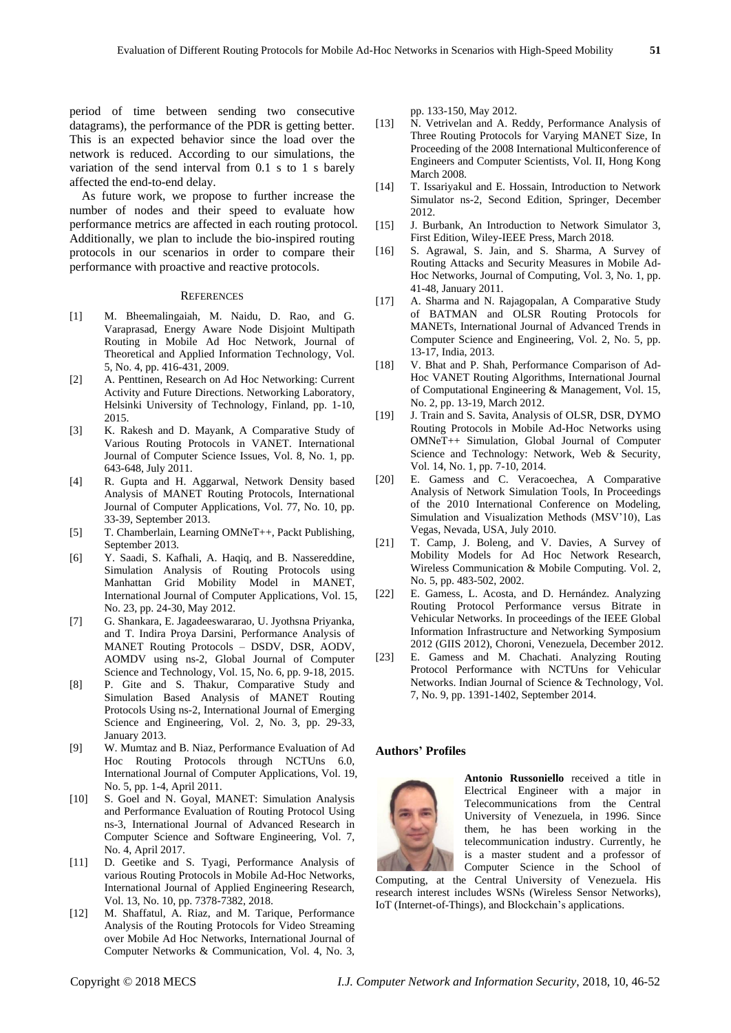period of time between sending two consecutive datagrams), the performance of the PDR is getting better. This is an expected behavior since the load over the network is reduced. According to our simulations, the variation of the send interval from 0.1 s to 1 s barely affected the end-to-end delay.

As future work, we propose to further increase the number of nodes and their speed to evaluate how performance metrics are affected in each routing protocol. Additionally, we plan to include the bio-inspired routing protocols in our scenarios in order to compare their performance with proactive and reactive protocols.

#### **REFERENCES**

- [1] M. Bheemalingaiah, M. Naidu, D. Rao, and G. Varaprasad, Energy Aware Node Disjoint Multipath Routing in Mobile Ad Hoc Network, Journal of Theoretical and Applied Information Technology, Vol. 5, No. 4, pp. 416-431, 2009.
- [2] A. Penttinen, Research on Ad Hoc Networking: Current Activity and Future Directions. Networking Laboratory, Helsinki University of Technology, Finland, pp. 1-10, 2015.
- [3] K. Rakesh and D. Mayank, A Comparative Study of Various Routing Protocols in VANET. International Journal of Computer Science Issues, Vol. 8, No. 1, pp. 643-648, July 2011.
- [4] R. Gupta and H. Aggarwal, Network Density based Analysis of MANET Routing Protocols, International Journal of Computer Applications, Vol. 77, No. 10, pp. 33-39, September 2013.
- [5] T. Chamberlain, Learning OMNeT++, Packt Publishing, September 2013.
- [6] Y. Saadi, S. Kafhali, A. Haqiq, and B. Nassereddine, Simulation Analysis of Routing Protocols using Manhattan Grid Mobility Model in MANET, International Journal of Computer Applications, Vol. 15, No. 23, pp. 24-30, May 2012.
- [7] G. Shankara, E. Jagadeeswararao, U. Jyothsna Priyanka, and T. Indira Proya Darsini, Performance Analysis of MANET Routing Protocols – DSDV, DSR, AODV, AOMDV using ns-2, Global Journal of Computer Science and Technology, Vol. 15, No. 6, pp. 9-18, 2015.
- [8] P. Gite and S. Thakur, Comparative Study and Simulation Based Analysis of MANET Routing Protocols Using ns-2, International Journal of Emerging Science and Engineering, Vol. 2, No. 3, pp. 29-33, January 2013.
- [9] W. Mumtaz and B. Niaz, Performance Evaluation of Ad Hoc Routing Protocols through NCTUns 6.0, International Journal of Computer Applications, Vol. 19, No. 5, pp. 1-4, April 2011.
- [10] S. Goel and N. Goyal, MANET: Simulation Analysis and Performance Evaluation of Routing Protocol Using ns-3, International Journal of Advanced Research in Computer Science and Software Engineering, Vol. 7, No. 4, April 2017.
- [11] D. Geetike and S. Tyagi, Performance Analysis of various Routing Protocols in Mobile Ad-Hoc Networks, International Journal of Applied Engineering Research, Vol. 13, No. 10, pp. 7378-7382, 2018.
- [12] M. Shaffatul, A. Riaz, and M. Tarique, Performance Analysis of the Routing Protocols for Video Streaming over Mobile Ad Hoc Networks, International Journal of Computer Networks & Communication, Vol. 4, No. 3,

pp. 133-150, May 2012.

- [13] N. Vetrivelan and A. Reddy, Performance Analysis of Three Routing Protocols for Varying MANET Size, In Proceeding of the 2008 International Multiconference of Engineers and Computer Scientists, Vol. II, Hong Kong March 2008.
- [14] T. Issariyakul and E. Hossain, Introduction to Network Simulator ns-2, Second Edition, Springer, December 2012.
- [15] J. Burbank, An Introduction to Network Simulator 3, First Edition, Wiley-IEEE Press, March 2018.
- [16] S. Agrawal, S. Jain, and S. Sharma, A Survey of Routing Attacks and Security Measures in Mobile Ad-Hoc Networks, Journal of Computing, Vol. 3, No. 1, pp. 41-48, January 2011.
- [17] A. Sharma and N. Rajagopalan, A Comparative Study of BATMAN and OLSR Routing Protocols for MANETs, International Journal of Advanced Trends in Computer Science and Engineering, Vol. 2, No. 5, pp. 13-17, India, 2013.
- [18] V. Bhat and P. Shah, Performance Comparison of Ad-Hoc VANET Routing Algorithms, International Journal of Computational Engineering & Management, Vol. 15, No. 2, pp. 13-19, March 2012.
- [19] J. Train and S. Savita, Analysis of OLSR, DSR, DYMO Routing Protocols in Mobile Ad-Hoc Networks using OMNeT++ Simulation, Global Journal of Computer Science and Technology: Network, Web & Security, Vol. 14, No. 1, pp. 7-10, 2014.
- [20] E. Gamess and C. Veracoechea, A Comparative Analysis of Network Simulation Tools, In Proceedings of the 2010 International Conference on Modeling, Simulation and Visualization Methods (MSV'10), Las Vegas, Nevada, USA, July 2010.
- [21] T. Camp, J. Boleng, and V. Davies, A Survey of Mobility Models for Ad Hoc Network Research, Wireless Communication & Mobile Computing. Vol. 2, No. 5, pp. 483-502, 2002.
- [22] E. Gamess, L. Acosta, and D. Hernández. Analyzing Routing Protocol Performance versus Bitrate in Vehicular Networks. In proceedings of the IEEE Global Information Infrastructure and Networking Symposium 2012 (GIIS 2012), Choroni, Venezuela, December 2012.
- [23] E. Gamess and M. Chachati. Analyzing Routing Protocol Performance with NCTUns for Vehicular Networks. Indian Journal of Science & Technology, Vol. 7, No. 9, pp. 1391-1402, September 2014.

## **Authors' Profiles**



**Antonio Russoniello** received a title in Electrical Engineer with a major in Telecommunications from the Central University of Venezuela, in 1996. Since them, he has been working in the telecommunication industry. Currently, he is a master student and a professor of Computer Science in the School of

Computing, at the Central University of Venezuela. His research interest includes WSNs (Wireless Sensor Networks), IoT (Internet-of-Things), and Blockchain's applications.